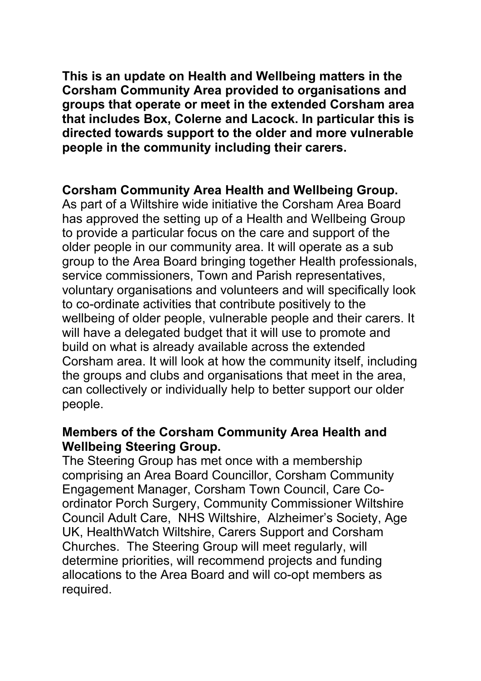**This is an update on Health and Wellbeing matters in the Corsham Community Area provided to organisations and groups that operate or meet in the extended Corsham area that includes Box, Colerne and Lacock. In particular this is directed towards support to the older and more vulnerable people in the community including their carers.**

### **Corsham Community Area Health and Wellbeing Group.**

As part of a Wiltshire wide initiative the Corsham Area Board has approved the setting up of a Health and Wellbeing Group to provide a particular focus on the care and support of the older people in our community area. It will operate as a sub group to the Area Board bringing together Health professionals, service commissioners, Town and Parish representatives, voluntary organisations and volunteers and will specifically look to co-ordinate activities that contribute positively to the wellbeing of older people, vulnerable people and their carers. It will have a delegated budget that it will use to promote and build on what is already available across the extended Corsham area. It will look at how the community itself, including the groups and clubs and organisations that meet in the area, can collectively or individually help to better support our older people.

### **Members of the Corsham Community Area Health and Wellbeing Steering Group.**

The Steering Group has met once with a membership comprising an Area Board Councillor, Corsham Community Engagement Manager, Corsham Town Council, Care Coordinator Porch Surgery, Community Commissioner Wiltshire Council Adult Care, NHS Wiltshire, Alzheimer's Society, Age UK, HealthWatch Wiltshire, Carers Support and Corsham Churches. The Steering Group will meet regularly, will determine priorities, will recommend projects and funding allocations to the Area Board and will co-opt members as required.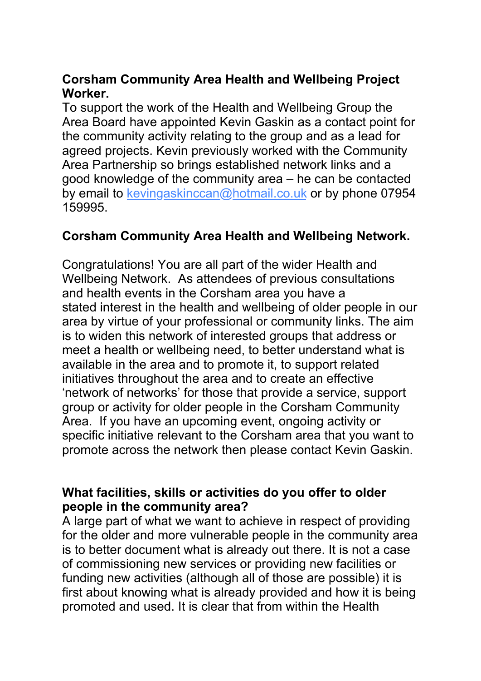## **Corsham Community Area Health and Wellbeing Project Worker.**

To support the work of the Health and Wellbeing Group the Area Board have appointed Kevin Gaskin as a contact point for the community activity relating to the group and as a lead for agreed projects. Kevin previously worked with the Community Area Partnership so brings established network links and a good knowledge of the community area – he can be contacted by email to [kevingaskinccan@hotmail.co.uk](mailto:kevingaskinccan@hotmail.co.uk) or by phone 07954 159995.

# **Corsham Community Area Health and Wellbeing Network.**

Congratulations! You are all part of the wider Health and Wellbeing Network. As attendees of previous consultations and health events in the Corsham area you have a stated interest in the health and wellbeing of older people in our area by virtue of your professional or community links. The aim is to widen this network of interested groups that address or meet a health or wellbeing need, to better understand what is available in the area and to promote it, to support related initiatives throughout the area and to create an effective 'network of networks' for those that provide a service, support group or activity for older people in the Corsham Community Area. If you have an upcoming event, ongoing activity or specific initiative relevant to the Corsham area that you want to promote across the network then please contact Kevin Gaskin.

## **What facilities, skills or activities do you offer to older people in the community area?**

A large part of what we want to achieve in respect of providing for the older and more vulnerable people in the community area is to better document what is already out there. It is not a case of commissioning new services or providing new facilities or funding new activities (although all of those are possible) it is first about knowing what is already provided and how it is being promoted and used. It is clear that from within the Health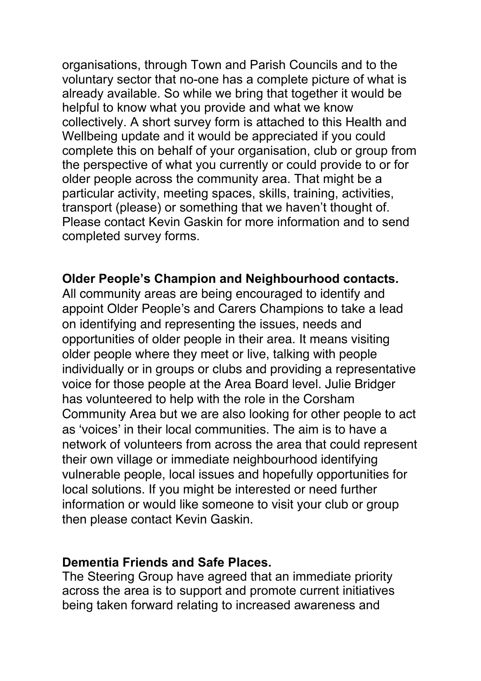organisations, through Town and Parish Councils and to the voluntary sector that no-one has a complete picture of what is already available. So while we bring that together it would be helpful to know what you provide and what we know collectively. A short survey form is attached to this Health and Wellbeing update and it would be appreciated if you could complete this on behalf of your organisation, club or group from the perspective of what you currently or could provide to or for older people across the community area. That might be a particular activity, meeting spaces, skills, training, activities, transport (please) or something that we haven't thought of. Please contact Kevin Gaskin for more information and to send completed survey forms.

# **Older People's Champion and Neighbourhood contacts.**

All community areas are being encouraged to identify and appoint Older People's and Carers Champions to take a lead on identifying and representing the issues, needs and opportunities of older people in their area. It means visiting older people where they meet or live, talking with people individually or in groups or clubs and providing a representative voice for those people at the Area Board level. Julie Bridger has volunteered to help with the role in the Corsham Community Area but we are also looking for other people to act as 'voices' in their local communities. The aim is to have a network of volunteers from across the area that could represent their own village or immediate neighbourhood identifying vulnerable people, local issues and hopefully opportunities for local solutions. If you might be interested or need further information or would like someone to visit your club or group then please contact Kevin Gaskin.

#### **Dementia Friends and Safe Places.**

The Steering Group have agreed that an immediate priority across the area is to support and promote current initiatives being taken forward relating to increased awareness and